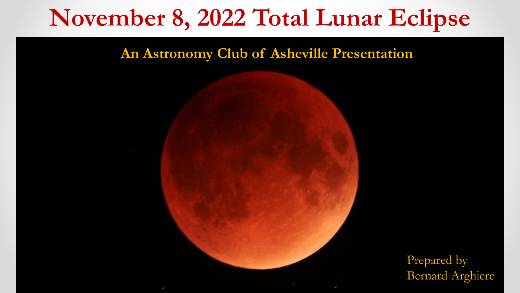#### **An Astronomy Club of Asheville Presentation**

Prepared by Bernard Arghiere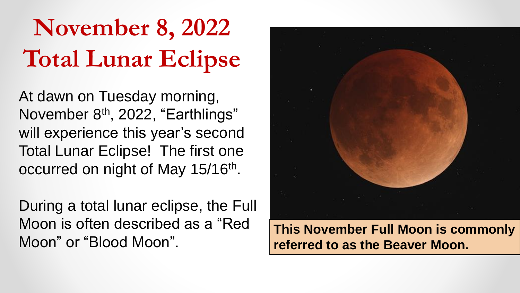At dawn on Tuesday morning, November 8<sup>th</sup>, 2022, "Earthlings" will experience this year's second Total Lunar Eclipse! The first one occurred on night of May 15/16<sup>th</sup>.

During a total lunar eclipse, the Full Moon is often described as a "Red Moon" or "Blood Moon".



**This November Full Moon is commonly referred to as the Beaver Moon.**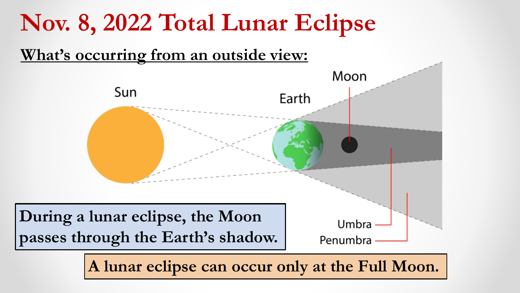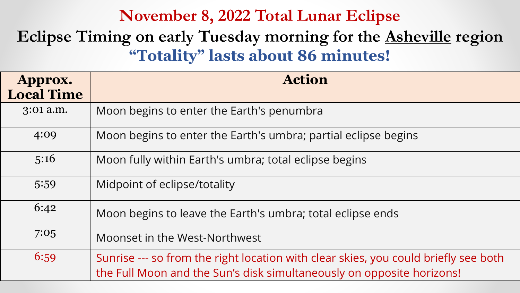### **Eclipse Timing on early Tuesday morning for the Asheville region "Totality" lasts about 86 minutes!**

| Approx.<br><b>Local Time</b> | <b>Action</b>                                                                                                                                                |
|------------------------------|--------------------------------------------------------------------------------------------------------------------------------------------------------------|
| 3:01 a.m.                    | Moon begins to enter the Earth's penumbra                                                                                                                    |
| 4:09                         | Moon begins to enter the Earth's umbra; partial eclipse begins                                                                                               |
| 5:16                         | Moon fully within Earth's umbra; total eclipse begins                                                                                                        |
| 5:59                         | Midpoint of eclipse/totality                                                                                                                                 |
| 6:42                         | Moon begins to leave the Earth's umbra; total eclipse ends                                                                                                   |
| 7:05                         | Moonset in the West-Northwest                                                                                                                                |
| 6:59                         | Sunrise --- so from the right location with clear skies, you could briefly see both<br>the Full Moon and the Sun's disk simultaneously on opposite horizons! |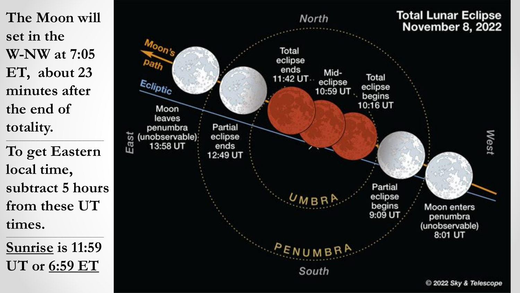**The Moon will set in the W-NW at 7:05 ET, about 23 minutes after the end of totality. \_\_\_\_\_\_\_\_\_\_\_\_\_\_\_\_\_\_\_\_\_\_\_\_\_\_\_\_\_\_\_\_\_\_\_\_\_\_\_\_**

**To get Eastern local time, subtract 5 hours from these UT times.**

**Sunrise is 11:59 UT or 6:59 ET**

**\_\_\_\_\_\_\_\_\_\_\_\_\_\_\_\_\_\_\_\_\_\_\_\_\_\_\_\_\_\_\_\_\_\_\_\_\_\_\_\_\_\_\_\_\_**

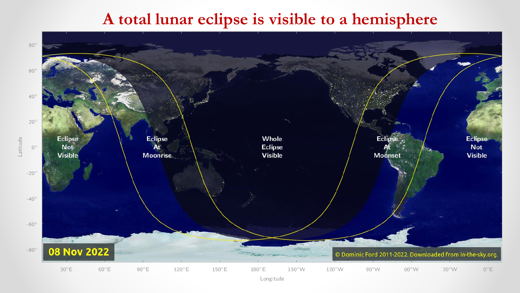#### **A total lunar eclipse is visible to a hemisphere**

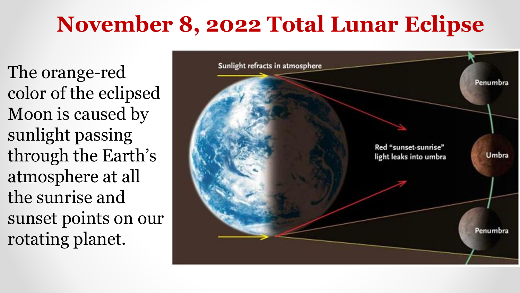The orange-red color of the eclipsed Moon is caused by sunlight passing through the Earth's atmosphere at all the sunrise and sunset points on our rotating planet.

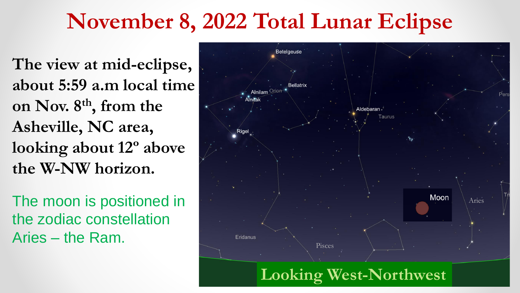**The view at mid-eclipse, about 5:59 a.m local time on Nov. 8th, from the Asheville, NC area, looking about 12º above the W-NW horizon.**

The moon is positioned in the zodiac constellation Aries – the Ram.



**Looking West-Northwest**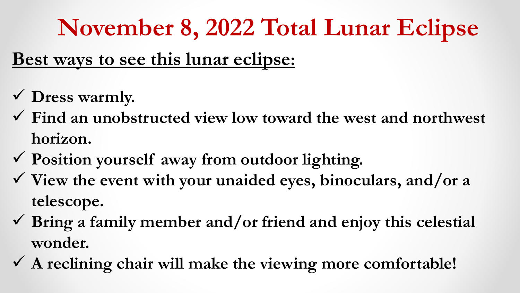### **Best ways to see this lunar eclipse:**

- ✓ **Dress warmly.**
- ✓ **Find an unobstructed view low toward the west and northwest horizon.**
- ✓ **Position yourself away from outdoor lighting.**
- ✓ **View the event with your unaided eyes, binoculars, and/or a telescope.**
- ✓ **Bring a family member and/or friend and enjoy this celestial wonder.**
- ✓ **A reclining chair will make the viewing more comfortable!**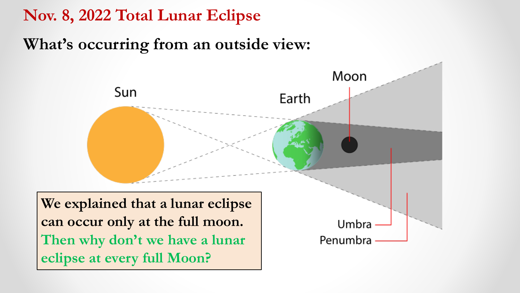### **What's occurring from an outside view:**

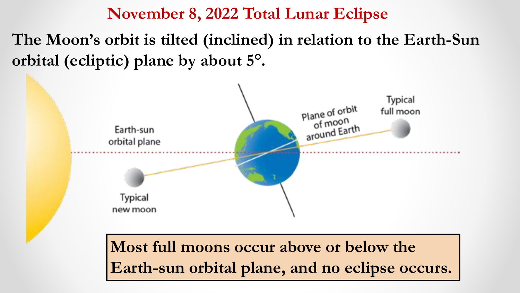**The Moon's orbit is tilted (inclined) in relation to the Earth-Sun orbital (ecliptic) plane by about 5°.** 

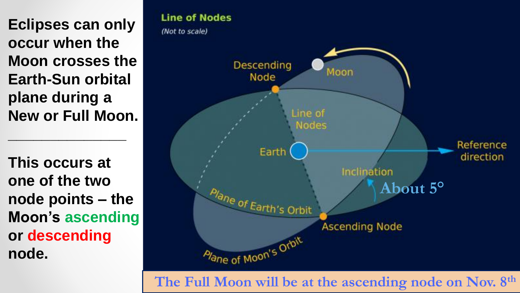**Eclipses can only occur when the Moon crosses the Earth-Sun orbital plane during a New or Full Moon.**

**\_\_\_\_\_\_\_\_\_\_\_\_\_\_**

**This occurs at one of the two node points – the Moon's ascending or descending node.**

#### **Line of Nodes**

(Not to scale)



**The Full Moon will be at the ascending node on Nov. 8th**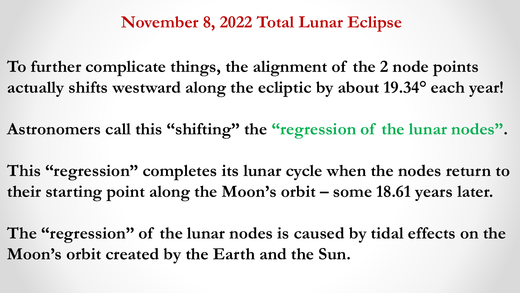**To further complicate things, the alignment of the 2 node points actually shifts westward along the ecliptic by about 19.34° each year!**

**Astronomers call this "shifting" the "regression of the lunar nodes".**

**This "regression" completes its lunar cycle when the nodes return to their starting point along the Moon's orbit – some 18.61 years later.**

**The "regression" of the lunar nodes is caused by tidal effects on the Moon's orbit created by the Earth and the Sun.**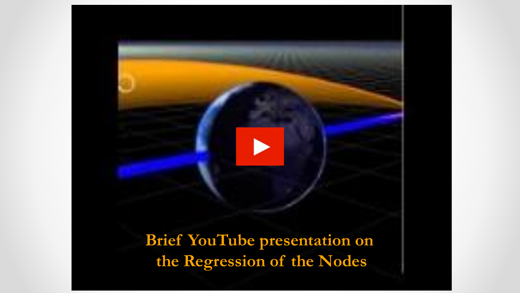**[Brief YouTube presentation on](https://www.youtube.com/watch?v=D0sSsOzhY8Q)  the Regression of the Nodes**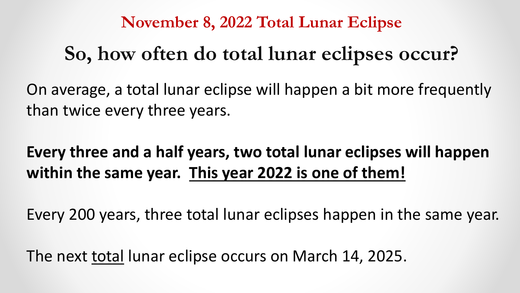### **So, how often do total lunar eclipses occur?**

On average, a total lunar eclipse will happen a bit more frequently than twice every three years.

### **Every three and a half years, two total lunar eclipses will happen within the same year. This year 2022 is one of them!**

Every 200 years, three total lunar eclipses happen in the same year.

The next total lunar eclipse occurs on March 14, 2025.